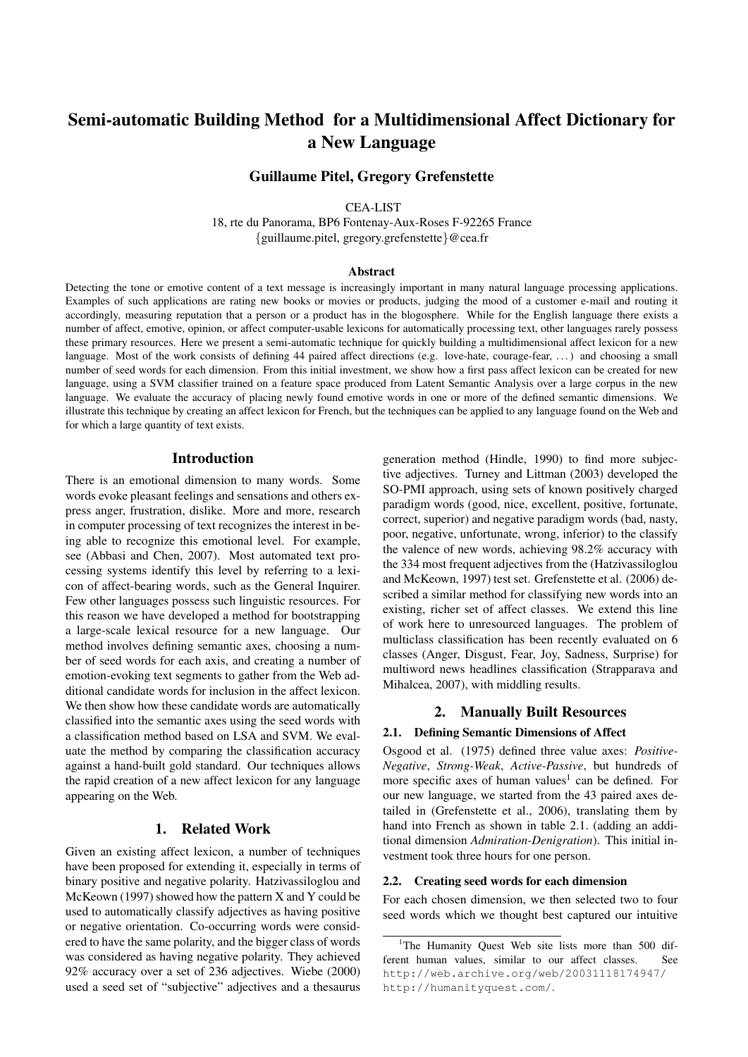# Semi-automatic Building Method for a Multidimensional Affect Dictionary for a New Language

## Guillaume Pitel, Gregory Grefenstette

CEA-LIST

18, rte du Panorama, BP6 Fontenay-Aux-Roses F-92265 France {guillaume.pitel, gregory.grefenstette}@cea.fr

#### **Abstract**

Detecting the tone or emotive content of a text message is increasingly important in many natural language processing applications. Examples of such applications are rating new books or movies or products, judging the mood of a customer e-mail and routing it accordingly, measuring reputation that a person or a product has in the blogosphere. While for the English language there exists a number of affect, emotive, opinion, or affect computer-usable lexicons for automatically processing text, other languages rarely possess these primary resources. Here we present a semi-automatic technique for quickly building a multidimensional affect lexicon for a new language. Most of the work consists of defining 44 paired affect directions (e.g. love-hate, courage-fear, ...) and choosing a small number of seed words for each dimension. From this initial investment, we show how a first pass affect lexicon can be created for new language, using a SVM classifier trained on a feature space produced from Latent Semantic Analysis over a large corpus in the new language. We evaluate the accuracy of placing newly found emotive words in one or more of the defined semantic dimensions. We illustrate this technique by creating an affect lexicon for French, but the techniques can be applied to any language found on the Web and for which a large quantity of text exists.

#### Introduction

There is an emotional dimension to many words. Some words evoke pleasant feelings and sensations and others express anger, frustration, dislike. More and more, research in computer processing of text recognizes the interest in being able to recognize this emotional level. For example, see (Abbasi and Chen, 2007). Most automated text processing systems identify this level by referring to a lexicon of affect-bearing words, such as the General Inquirer. Few other languages possess such linguistic resources. For this reason we have developed a method for bootstrapping a large-scale lexical resource for a new language. Our method involves defining semantic axes, choosing a number of seed words for each axis, and creating a number of emotion-evoking text segments to gather from the Web additional candidate words for inclusion in the affect lexicon. We then show how these candidate words are automatically classified into the semantic axes using the seed words with a classification method based on LSA and SVM. We evaluate the method by comparing the classification accuracy against a hand-built gold standard. Our techniques allows the rapid creation of a new affect lexicon for any language appearing on the Web.

## 1. Related Work

Given an existing affect lexicon, a number of techniques have been proposed for extending it, especially in terms of binary positive and negative polarity. Hatzivassiloglou and McKeown (1997) showed how the pattern X and Y could be used to automatically classify adjectives as having positive or negative orientation. Co-occurring words were considered to have the same polarity, and the bigger class of words was considered as having negative polarity. They achieved 92% accuracy over a set of 236 adjectives. Wiebe (2000) used a seed set of "subjective" adjectives and a thesaurus generation method (Hindle, 1990) to find more subjective adjectives. Turney and Littman (2003) developed the SO-PMI approach, using sets of known positively charged paradigm words (good, nice, excellent, positive, fortunate, correct, superior) and negative paradigm words (bad, nasty, poor, negative, unfortunate, wrong, inferior) to the classify the valence of new words, achieving 98.2% accuracy with the 334 most frequent adjectives from the (Hatzivassiloglou and McKeown, 1997) test set. Grefenstette et al. (2006) described a similar method for classifying new words into an existing, richer set of affect classes. We extend this line of work here to unresourced languages. The problem of multiclass classification has been recently evaluated on 6 classes (Anger, Disgust, Fear, Joy, Sadness, Surprise) for multiword news headlines classification (Strapparava and Mihalcea, 2007), with middling results.

## 2. Manually Built Resources

#### 2.1. Defining Semantic Dimensions of Affect

Osgood et al. (1975) defined three value axes: *Positive-Negative*, *Strong-Weak*, *Active-Passive*, but hundreds of more specific axes of human values<sup>1</sup> can be defined. For our new language, we started from the 43 paired axes detailed in (Grefenstette et al., 2006), translating them by hand into French as shown in table 2.1. (adding an additional dimension *Admiration-Denigration*). This initial investment took three hours for one person.

#### 2.2. Creating seed words for each dimension

For each chosen dimension, we then selected two to four seed words which we thought best captured our intuitive

<sup>&</sup>lt;sup>1</sup>The Humanity Ouest Web site lists more than 500 different human values, similar to our affect classes. See http://web.archive.org/web/20031118174947/ http://humanityquest.com/.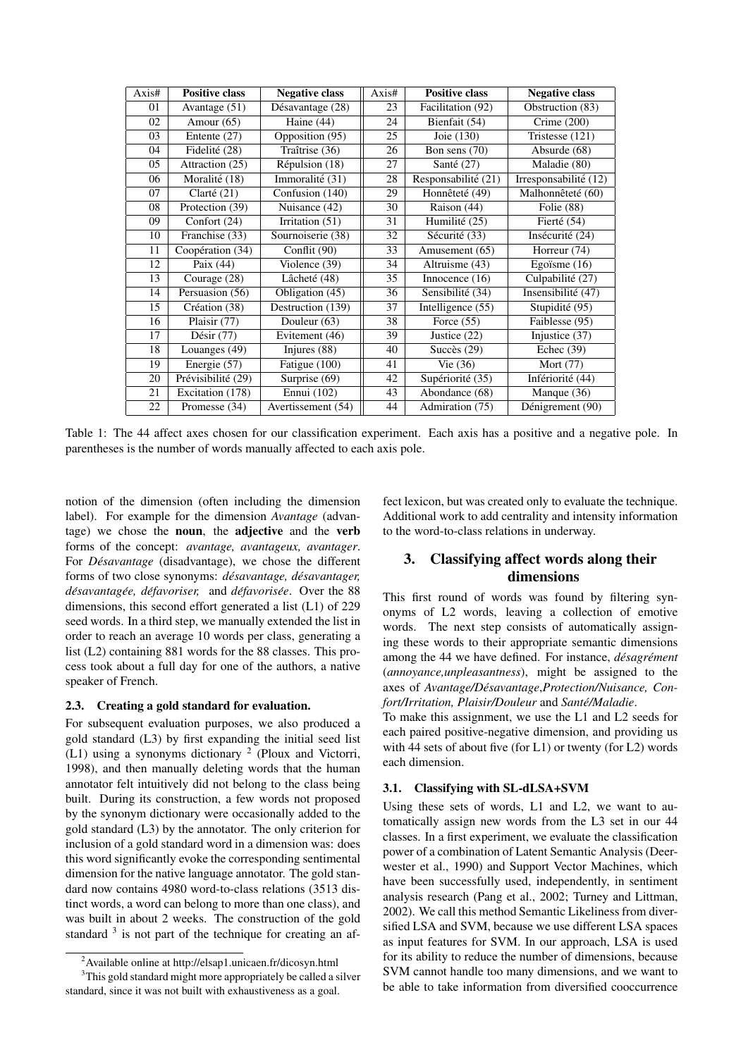| Axis# | <b>Positive class</b>             | <b>Negative class</b>                | Axis# | <b>Positive class</b>            | <b>Negative class</b>            |
|-------|-----------------------------------|--------------------------------------|-------|----------------------------------|----------------------------------|
| 01    | Avantage $(51)$                   | $\overline{\text{Désavantage}}$ (28) | 23    | Facilitation (92)                | Obstruction $(83)$               |
| 02    | Amour $(65)$                      | Haine $(44)$                         | 24    | Bienfait (54)                    | Crime $(200)$                    |
| 03    | Entente (27)                      | Opposition (95)                      | 25    | Joie (130)                       | Tristesse(121)                   |
| 04    | Fidelité (28)                     | $\overline{\text{Traîtrise}}$ (36)   | 26    | Bon sens $(70)$                  | $\overline{\text{Absolute}}(68)$ |
| 05    | Attraction $(25)$                 | Répulsion (18)                       | 27    | Santé $(27)$                     | Maladie (80)                     |
| 06    | Moralité (18)                     | Immoralité (31)                      | 28    | Responsabilité (21)              | Irresponsabilité (12)            |
| 07    | $\overline{\text{Clart\'e}}$ (21) | Confusion $(140)$                    | 29    | Honnêteté (49)                   | Malhonnêteté (60)                |
| 08    | Protection (39)                   | Nuisance (42)                        | 30    | Raison (44)                      | Folie (88)                       |
| 09    | Confort (24)                      | Irritation $(51)$                    | 31    | Humilité (25)                    | Fierté (54)                      |
| 10    | Franchise (33)                    | Sournoiserie (38)                    | 32    | Sécurité (33)                    | Insécurité (24)                  |
| 11    | Coopération (34)                  | Conflit $(90)$                       | 33    | Amusement (65)                   | Horreur (74)                     |
| 12    | Paix (44)                         | Violence (39)                        | 34    | Altruisme (43)                   | Egoïsme $(16)$                   |
| 13    | Courage (28)                      | Lâcheté (48)                         | 35    | Innocence $(16)$                 | Culpabilité (27)                 |
| 14    | Persuasion (56)                   | Obligation (45)                      | 36    | Sensibilité (34)                 | Insensibilité (47)               |
| 15    | Création (38)                     | Destruction (139)                    | 37    | Intelligence (55)                | Stupidité (95)                   |
| 16    | Plaisir $(77)$                    | Douleur (63)                         | 38    | Force $(55)$                     | Faiblesse $(95)$                 |
| 17    | $\overline{\mathrm{D}}$ ésir (77) | Evitement (46)                       | 39    | $\overline{\text{Justice}}$ (22) | $\overline{Injustice}$ (37)      |
| 18    | Louanges (49)                     | Injures (88)                         | 40    | Succès $(29)$                    | Echec $(39)$                     |
| 19    | Energie (57)                      | Fatigue (100)                        | 41    | Vie $(36)$                       | Mort (77)                        |
| 20    | Prévisibilité (29)                | Surprise (69)                        | 42    | Supériorité (35)                 | Infériorité (44)                 |
| 21    | Excitation $(178)$                | Ennui (102)                          | 43    | Abondance (68)                   | Manque (36)                      |
| 22    | Promesse (34)                     | Avertissement (54)                   | 44    | Admiration (75)                  | Dénigrement (90)                 |

Table 1: The 44 affect axes chosen for our classification experiment. Each axis has a positive and a negative pole. In parentheses is the number of words manually affected to each axis pole.

notion of the dimension (often including the dimension label). For example for the dimension *Avantage* (advantage) we chose the noun, the adjective and the verb forms of the concept: *avantage, avantageux, avantager*. For *Désavantage* (disadvantage), we chose the different forms of two close synonyms: *désavantage, désavantager, desavantag ´ ee, d ´ efavoriser, ´* and *defavoris ´ ee´* . Over the 88 dimensions, this second effort generated a list (L1) of 229 seed words. In a third step, we manually extended the list in order to reach an average 10 words per class, generating a list (L2) containing 881 words for the 88 classes. This process took about a full day for one of the authors, a native speaker of French.

## 2.3. Creating a gold standard for evaluation.

For subsequent evaluation purposes, we also produced a gold standard (L3) by first expanding the initial seed list (L1) using a synonyms dictionary  $2$  (Ploux and Victorri, 1998), and then manually deleting words that the human annotator felt intuitively did not belong to the class being built. During its construction, a few words not proposed by the synonym dictionary were occasionally added to the gold standard (L3) by the annotator. The only criterion for inclusion of a gold standard word in a dimension was: does this word significantly evoke the corresponding sentimental dimension for the native language annotator. The gold standard now contains 4980 word-to-class relations (3513 distinct words, a word can belong to more than one class), and was built in about 2 weeks. The construction of the gold standard  $3$  is not part of the technique for creating an affect lexicon, but was created only to evaluate the technique. Additional work to add centrality and intensity information to the word-to-class relations in underway.

# 3. Classifying affect words along their dimensions

This first round of words was found by filtering synonyms of L2 words, leaving a collection of emotive words. The next step consists of automatically assigning these words to their appropriate semantic dimensions among the 44 we have defined. For instance, *désagrément* (*annoyance,unpleasantness*), might be assigned to the axes of *Avantage/Desavantage ´* ,*Protection/Nuisance, Confort/Irritation, Plaisir/Douleur* and *Sante/Maladie ´* .

To make this assignment, we use the L1 and L2 seeds for each paired positive-negative dimension, and providing us with 44 sets of about five (for L1) or twenty (for L2) words each dimension.

#### 3.1. Classifying with SL-dLSA+SVM

Using these sets of words, L1 and L2, we want to automatically assign new words from the L3 set in our 44 classes. In a first experiment, we evaluate the classification power of a combination of Latent Semantic Analysis (Deerwester et al., 1990) and Support Vector Machines, which have been successfully used, independently, in sentiment analysis research (Pang et al., 2002; Turney and Littman, 2002). We call this method Semantic Likeliness from diversified LSA and SVM, because we use different LSA spaces as input features for SVM. In our approach, LSA is used for its ability to reduce the number of dimensions, because SVM cannot handle too many dimensions, and we want to be able to take information from diversified cooccurrence

<sup>2</sup>Available online at http://elsap1.unicaen.fr/dicosyn.html <sup>3</sup>This gold standard might more appropriately be called a silver

standard, since it was not built with exhaustiveness as a goal.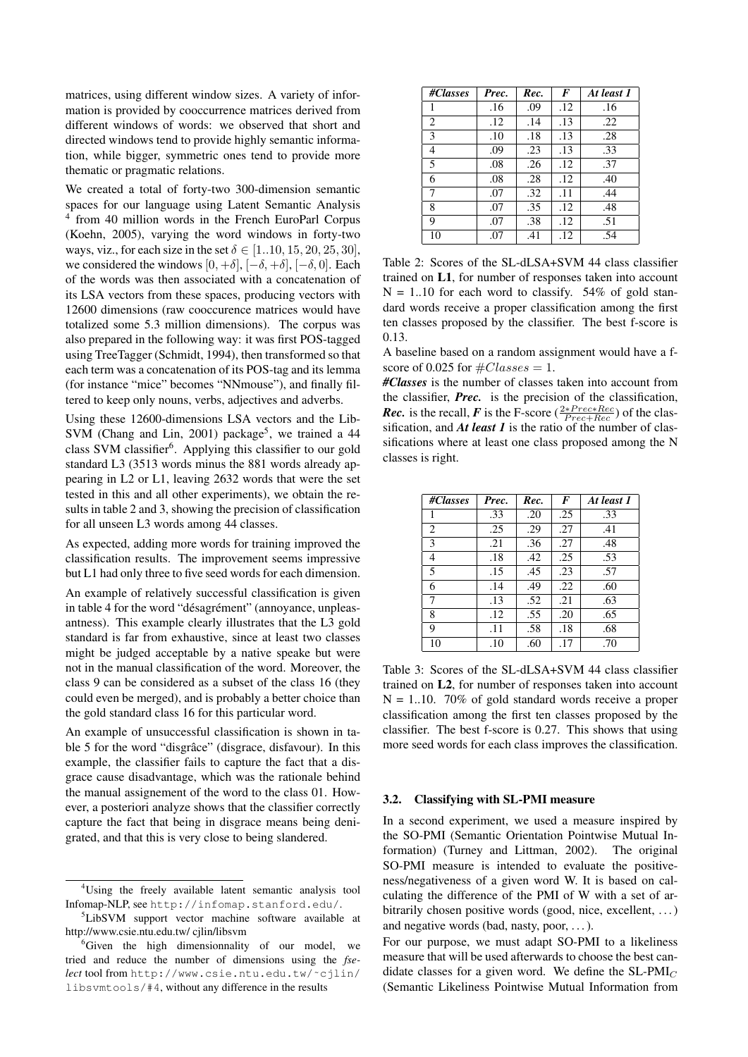matrices, using different window sizes. A variety of information is provided by cooccurrence matrices derived from different windows of words: we observed that short and directed windows tend to provide highly semantic information, while bigger, symmetric ones tend to provide more thematic or pragmatic relations.

We created a total of forty-two 300-dimension semantic spaces for our language using Latent Semantic Analysis 4 from 40 million words in the French EuroParl Corpus (Koehn, 2005), varying the word windows in forty-two ways, viz., for each size in the set  $\delta \in [1..10, 15, 20, 25, 30]$ , we considered the windows  $[0, +\delta]$ ,  $[-\delta, +\delta]$ ,  $[-\delta, 0]$ . Each of the words was then associated with a concatenation of its LSA vectors from these spaces, producing vectors with 12600 dimensions (raw cooccurence matrices would have totalized some 5.3 million dimensions). The corpus was also prepared in the following way: it was first POS-tagged using TreeTagger (Schmidt, 1994), then transformed so that each term was a concatenation of its POS-tag and its lemma (for instance "mice" becomes "NNmouse"), and finally filtered to keep only nouns, verbs, adjectives and adverbs.

Using these 12600-dimensions LSA vectors and the Lib-SVM (Chang and Lin, 2001) package<sup>5</sup>, we trained a 44 class SVM classifier<sup>6</sup>. Applying this classifier to our gold standard L3 (3513 words minus the 881 words already appearing in L2 or L1, leaving 2632 words that were the set tested in this and all other experiments), we obtain the results in table 2 and 3, showing the precision of classification for all unseen L3 words among 44 classes.

As expected, adding more words for training improved the classification results. The improvement seems impressive but L1 had only three to five seed words for each dimension.

An example of relatively successful classification is given in table 4 for the word "désagrément" (annoyance, unpleasantness). This example clearly illustrates that the L3 gold standard is far from exhaustive, since at least two classes might be judged acceptable by a native speake but were not in the manual classification of the word. Moreover, the class 9 can be considered as a subset of the class 16 (they could even be merged), and is probably a better choice than the gold standard class 16 for this particular word.

An example of unsuccessful classification is shown in table 5 for the word "disgrâce" (disgrace, disfavour). In this example, the classifier fails to capture the fact that a disgrace cause disadvantage, which was the rationale behind the manual assignement of the word to the class 01. However, a posteriori analyze shows that the classifier correctly capture the fact that being in disgrace means being denigrated, and that this is very close to being slandered.

| #Classes       | Prec. | Rec. | F   | At least 1 |
|----------------|-------|------|-----|------------|
| 1              | .16   | .09  | .12 | .16        |
| 2              | .12   | .14  | .13 | .22        |
| 3              | .10   | .18  | .13 | .28        |
| $\overline{4}$ | .09   | .23  | .13 | .33        |
| 5              | .08   | .26  | .12 | .37        |
| 6              | .08   | .28  | .12 | .40        |
| 7              | .07   | .32  | .11 | .44        |
| 8              | .07   | .35  | .12 | .48        |
| 9              | .07   | .38  | .12 | .51        |
| 10             | .07   | .41  | .12 | .54        |

Table 2: Scores of the SL-dLSA+SVM 44 class classifier trained on L1, for number of responses taken into account  $N = 1.10$  for each word to classify. 54% of gold standard words receive a proper classification among the first ten classes proposed by the classifier. The best f-score is 0.13.

A baseline based on a random assignment would have a fscore of 0.025 for  $\#Classes = 1$ .

*#Classes* is the number of classes taken into account from the classifier, *Prec.* is the precision of the classification, *Rec.* is the recall, *F* is the F-score ( $\frac{2*Prec*Rec}{Prec+Rec}$ ) of the classification, and *At least 1* is the ratio of the number of classifications where at least one class proposed among the N classes is right.

| #Classes | Prec. | Rec. | F   | At least 1 |
|----------|-------|------|-----|------------|
| 1        | .33   | .20  | .25 | .33        |
| 2        | .25   | .29  | .27 | .41        |
| 3        | .21   | .36  | .27 | .48        |
| 4        | .18   | .42  | .25 | .53        |
| 5        | .15   | .45  | .23 | .57        |
| 6        | .14   | .49  | .22 | .60        |
| $\tau$   | .13   | .52  | .21 | .63        |
| 8        | .12   | .55  | .20 | .65        |
| 9        | .11   | .58  | .18 | .68        |
| 10       | .10   | .60  | .17 | .70        |

Table 3: Scores of the SL-dLSA+SVM 44 class classifier trained on L2, for number of responses taken into account  $N = 1..10$ . 70% of gold standard words receive a proper classification among the first ten classes proposed by the classifier. The best f-score is 0.27. This shows that using more seed words for each class improves the classification.

#### 3.2. Classifying with SL-PMI measure

In a second experiment, we used a measure inspired by the SO-PMI (Semantic Orientation Pointwise Mutual Information) (Turney and Littman, 2002). The original SO-PMI measure is intended to evaluate the positiveness/negativeness of a given word W. It is based on calculating the difference of the PMI of W with a set of arbitrarily chosen positive words (good, nice, excellent, ...) and negative words (bad, nasty, poor, . . . ).

For our purpose, we must adapt SO-PMI to a likeliness measure that will be used afterwards to choose the best candidate classes for a given word. We define the  $SL-PMI_C$ (Semantic Likeliness Pointwise Mutual Information from

<sup>4</sup>Using the freely available latent semantic analysis tool Infomap-NLP, see http://infomap.stanford.edu/.

<sup>&</sup>lt;sup>5</sup>LibSVM support vector machine software available at http://www.csie.ntu.edu.tw/ cjlin/libsvm

 ${}^{6}$ Given the high dimensionnality of our model, we tried and reduce the number of dimensions using the *fselect* tool from http://www.csie.ntu.edu.tw/˜cjlin/ libsvmtools/#4, without any difference in the results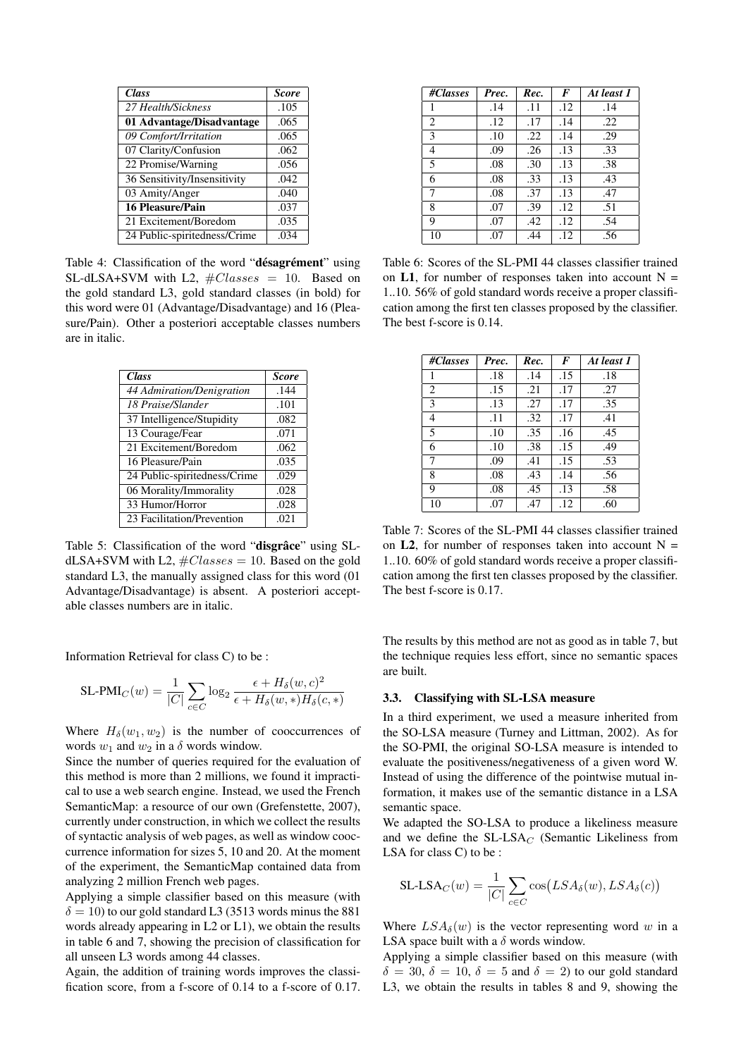| <b>Class</b>                 | <b>Score</b> |
|------------------------------|--------------|
| 27 Health/Sickness           | .105         |
| 01 Advantage/Disadvantage    | .065         |
| 09 Comfort/Irritation        | .065         |
| 07 Clarity/Confusion         | .062         |
| 22 Promise/Warning           | .056         |
| 36 Sensitivity/Insensitivity | .042         |
| 03 Amity/Anger               | .040         |
| <b>16 Pleasure/Pain</b>      | .037         |
| 21 Excitement/Boredom        | .035         |
| 24 Public-spiritedness/Crime | .034         |

Table 4: Classification of the word "désagrément" using SL-dLSA+SVM with L2,  $\#Classes = 10$ . Based on the gold standard L3, gold standard classes (in bold) for this word were 01 (Advantage/Disadvantage) and 16 (Pleasure/Pain). Other a posteriori acceptable classes numbers are in italic.

| <b>Class</b>                 | <b>Score</b> |
|------------------------------|--------------|
| 44 Admiration/Denigration    | .144         |
| 18 Praise/Slander            | .101         |
| 37 Intelligence/Stupidity    | .082         |
| 13 Courage/Fear              | .071         |
| 21 Excitement/Boredom        | .062         |
| 16 Pleasure/Pain             | .035         |
| 24 Public-spiritedness/Crime | .029         |
| 06 Morality/Immorality       | .028         |
| 33 Humor/Horror              | .028         |
| 23 Facilitation/Prevention   | .021         |

Table 5: Classification of the word "disgrâce" using SLdLSA+SVM with L2,  $\#Classes = 10$ . Based on the gold standard L3, the manually assigned class for this word (01 Advantage/Disadvantage) is absent. A posteriori acceptable classes numbers are in italic.

Information Retrieval for class C) to be :

$$
\text{SL-PMI}_C(w) = \frac{1}{|C|} \sum_{c \in C} \log_2 \frac{\epsilon + H_\delta(w, c)^2}{\epsilon + H_\delta(w, *) H_\delta(c, *)}
$$

Where  $H_\delta(w_1, w_2)$  is the number of cooccurrences of words  $w_1$  and  $w_2$  in a  $\delta$  words window.

Since the number of queries required for the evaluation of this method is more than 2 millions, we found it impractical to use a web search engine. Instead, we used the French SemanticMap: a resource of our own (Grefenstette, 2007), currently under construction, in which we collect the results of syntactic analysis of web pages, as well as window cooccurrence information for sizes 5, 10 and 20. At the moment of the experiment, the SemanticMap contained data from analyzing 2 million French web pages.

Applying a simple classifier based on this measure (with  $\delta = 10$ ) to our gold standard L3 (3513 words minus the 881 words already appearing in L2 or L1), we obtain the results in table 6 and 7, showing the precision of classification for all unseen L3 words among 44 classes.

Again, the addition of training words improves the classification score, from a f-score of 0.14 to a f-score of 0.17.

| #Classes       | Prec. | Rec. | F   | At least 1 |
|----------------|-------|------|-----|------------|
| 1              | .14   | .11  | .12 | .14        |
| 2              | .12   | .17  | .14 | .22        |
| 3              | .10   | .22  | .14 | .29        |
| $\overline{4}$ | .09   | .26  | .13 | .33        |
| 5              | .08   | .30  | .13 | .38        |
| 6              | .08   | .33  | .13 | .43        |
| 7              | .08   | .37  | .13 | .47        |
| 8              | .07   | .39  | .12 | .51        |
| 9              | .07   | .42  | .12 | .54        |
| 10             | .07   | .44  | .12 | .56        |

Table 6: Scores of the SL-PMI 44 classes classifier trained on L1, for number of responses taken into account  $N =$ 1..10. 56% of gold standard words receive a proper classification among the first ten classes proposed by the classifier. The best f-score is 0.14.

| #Classes       | Prec. | Rec. | F   | At least 1 |
|----------------|-------|------|-----|------------|
| 1              | .18   | .14  | .15 | .18        |
| 2              | .15   | .21  | .17 | .27        |
| 3              | .13   | .27  | .17 | .35        |
| $\overline{4}$ | .11   | .32  | .17 | .41        |
| 5              | .10   | .35  | .16 | .45        |
| 6              | .10   | .38  | .15 | .49        |
| $\tau$         | .09   | .41  | .15 | .53        |
| 8              | .08   | .43  | .14 | .56        |
| 9              | .08   | .45  | .13 | .58        |
| 10             | .07   | .47  | .12 | .60        |

Table 7: Scores of the SL-PMI 44 classes classifier trained on **L2**, for number of responses taken into account  $N =$ 1..10. 60% of gold standard words receive a proper classification among the first ten classes proposed by the classifier. The best f-score is 0.17.

The results by this method are not as good as in table 7, but the technique requies less effort, since no semantic spaces are built.

## 3.3. Classifying with SL-LSA measure

In a third experiment, we used a measure inherited from the SO-LSA measure (Turney and Littman, 2002). As for the SO-PMI, the original SO-LSA measure is intended to evaluate the positiveness/negativeness of a given word W. Instead of using the difference of the pointwise mutual information, it makes use of the semantic distance in a LSA semantic space.

We adapted the SO-LSA to produce a likeliness measure and we define the  $SL-LSA_C$  (Semantic Likeliness from LSA for class C) to be :

$$
SL\text{-}LSA_C(w) = \frac{1}{|C|} \sum_{c \in C} \cos(LSA_{\delta}(w), LSA_{\delta}(c))
$$

Where  $LSA_{\delta}(w)$  is the vector representing word w in a LSA space built with a  $\delta$  words window.

Applying a simple classifier based on this measure (with  $\delta = 30, \delta = 10, \delta = 5$  and  $\delta = 2$ ) to our gold standard L3, we obtain the results in tables 8 and 9, showing the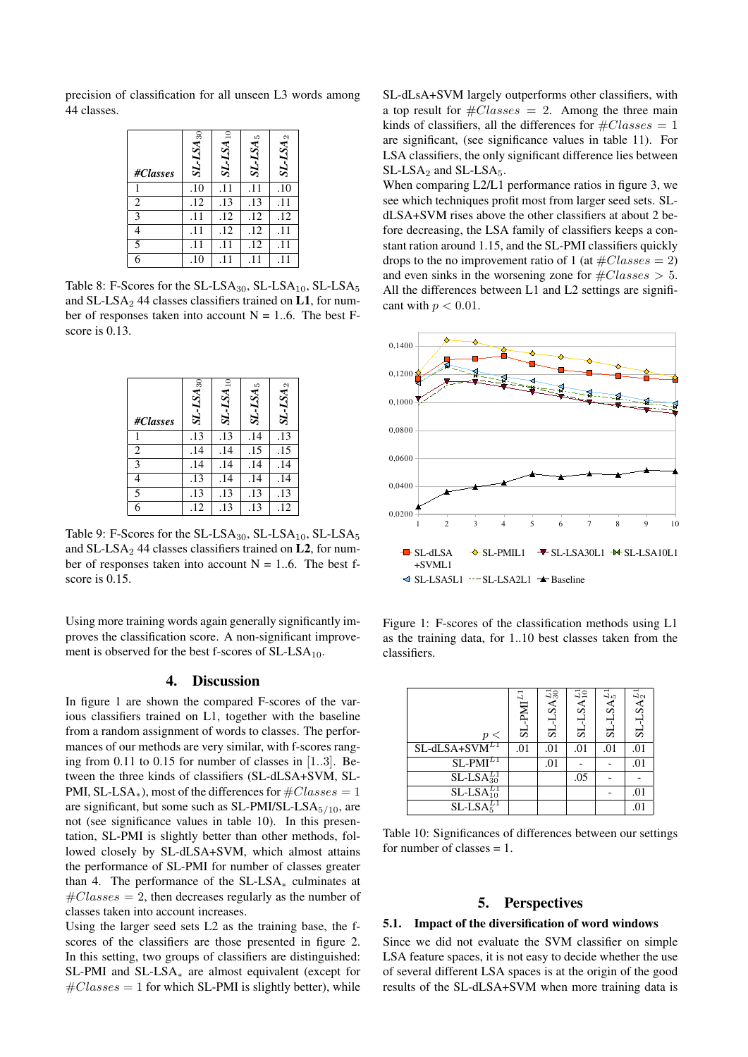precision of classification for all unseen L3 words among 44 classes.

| #Classes | $SL-LSA_{30}$ | $SL-LSA_{10}$ | $SL-LSA_5$ | $SL-LSA_2$ |
|----------|---------------|---------------|------------|------------|
|          | .10           | .11           | .11        | .10        |
| 2        | .12           | .13           | .13        | .11        |
| 3        | .11           | .12           | .12        | .12        |
|          | .11           | .12           | .12        | .11        |
| 5        | .11           | .11           | .12        | .11        |
| 6        | .10           |               |            |            |

Table 8: F-Scores for the  $SL-LSA_{30}$ ,  $SL-LSA_{10}$ ,  $SL-LSA_{5}$ and SL-LSA<sub>2</sub> 44 classes classifiers trained on L1, for number of responses taken into account  $N = 1..6$ . The best Fscore is 0.13.

| #Classes       | $SL-LSA_{30}$ | $SL-LSA_{10}$ | $SL-LSA_5$ | $SL-LSA_2$ |
|----------------|---------------|---------------|------------|------------|
|                | .13           | .13           | .14        | .13        |
| $\overline{2}$ | .14           | .14           | .15        | .15        |
| $\overline{3}$ | .14           | .14           | .14        | .14        |
| 4              | .13           | .14           | .14        | .14        |
| $\overline{5}$ | .13           | .13           | .13        | .13        |
| $\overline{6}$ | .12           | .13           | .13        | .12        |

Table 9: F-Scores for the  $SL-LSA_{30}$ ,  $SL-LSA_{10}$ ,  $SL-LSA_{5}$ and SL-LSA<sub>2</sub> 44 classes classifiers trained on L<sub>2</sub>, for number of responses taken into account  $N = 1..6$ . The best fscore is 0.15.

Using more training words again generally significantly improves the classification score. A non-significant improvement is observed for the best f-scores of  $SL-LSA_{10}$ .

## 4. Discussion

In figure 1 are shown the compared F-scores of the various classifiers trained on L1, together with the baseline from a random assignment of words to classes. The performances of our methods are very similar, with f-scores ranging from 0.11 to 0.15 for number of classes in [1..3]. Between the three kinds of classifiers (SL-dLSA+SVM, SL-PMI, SL-LSA<sup>\*</sup>), most of the differences for  $\#Classes = 1$ are significant, but some such as  $SL-PMI/SL-LSA<sub>5/10</sub>$ , are not (see significance values in table 10). In this presentation, SL-PMI is slightly better than other methods, followed closely by SL-dLSA+SVM, which almost attains the performance of SL-PMI for number of classes greater than 4. The performance of the  $SL-LSA_*$  culminates at  $\#Classes = 2$ , then decreases regularly as the number of classes taken into account increases.

Using the larger seed sets L2 as the training base, the fscores of the classifiers are those presented in figure 2. In this setting, two groups of classifiers are distinguished: SL-PMI and SL-LSA<sup>∗</sup> are almost equivalent (except for  $\#Classes = 1$  for which SL-PMI is slightly better), while SL-dLsA+SVM largely outperforms other classifiers, with a top result for  $\#Classes = 2$ . Among the three main kinds of classifiers, all the differences for  $\#Classes = 1$ are significant, (see significance values in table 11). For LSA classifiers, the only significant difference lies between SL-LSA<sub>2</sub> and SL-LSA<sub>5</sub>.

When comparing L2/L1 performance ratios in figure 3, we see which techniques profit most from larger seed sets. SLdLSA+SVM rises above the other classifiers at about 2 before decreasing, the LSA family of classifiers keeps a constant ration around 1.15, and the SL-PMI classifiers quickly drops to the no improvement ratio of 1 (at  $\#Classes = 2$ ) and even sinks in the worsening zone for  $\#Classes > 5$ . All the differences between L1 and L2 settings are significant with  $p < 0.01$ .



Figure 1: F-scores of the classification methods using L1 as the training data, for 1..10 best classes taken from the classifiers.

| $\,<\,$            | $SL-PMI^{L_1}$ | $SL-LSA_{30}^{L1}$ | SA <sub>10</sub><br>ವ | $S A_5^{L1}$<br>ವ | $SL-LSA2L1$    |
|--------------------|----------------|--------------------|-----------------------|-------------------|----------------|
| $SL-dLSA+SVM^{L1}$ | .01            | .01                | .01                   | .01               | .01            |
| $SL-PMI^{L1}$      |                | .01                |                       |                   | .01            |
| $SL-LSA_{30}^{L1}$ |                |                    | .05                   |                   |                |
| $SL-LSA_{10}^{L1}$ |                |                    |                       |                   | .01            |
| $SL-LSA5L1$        |                |                    |                       |                   | $\overline{0}$ |

Table 10: Significances of differences between our settings for number of classes  $= 1$ .

# 5. Perspectives

### 5.1. Impact of the diversification of word windows

Since we did not evaluate the SVM classifier on simple LSA feature spaces, it is not easy to decide whether the use of several different LSA spaces is at the origin of the good results of the SL-dLSA+SVM when more training data is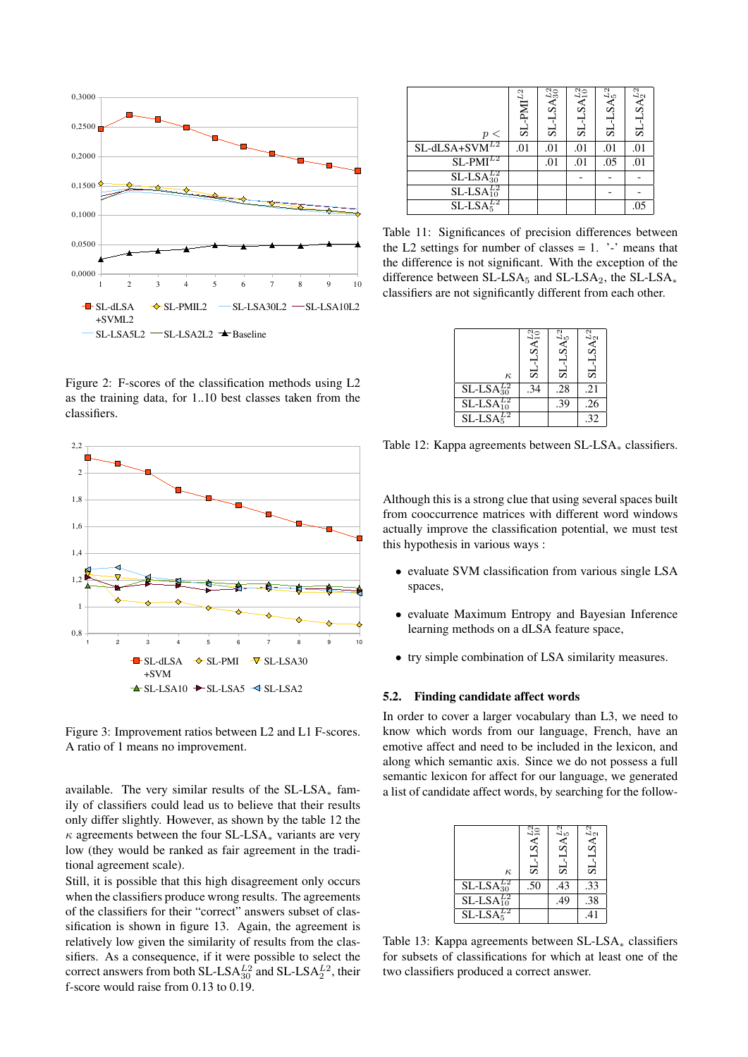

Figure 2: F-scores of the classification methods using L2 as the training data, for 1..10 best classes taken from the classifiers.



Figure 3: Improvement ratios between L2 and L1 F-scores. A ratio of 1 means no improvement.

available. The very similar results of the  $SL-LSA_*$  family of classifiers could lead us to believe that their results only differ slightly. However, as shown by the table 12 the  $\kappa$  agreements between the four SL-LSA<sub>\*</sub> variants are very low (they would be ranked as fair agreement in the traditional agreement scale).

Still, it is possible that this high disagreement only occurs when the classifiers produce wrong results. The agreements of the classifiers for their "correct" answers subset of classification is shown in figure 13. Again, the agreement is relatively low given the similarity of results from the classifiers. As a consequence, if it were possible to select the correct answers from both SL-LSA $_{30}^{L2}$  and SL-LSA $_{2}^{L2}$ , their f-score would raise from 0.13 to 0.19.

| $\,<\,$            | $-PMIL2$<br>ದ | $-LSA_{30}^{L2}$<br>ದ | $LSA_{10}^{L2}$<br>$1-18$ | $SA_5^{L2}$<br>ವ | $SL-LSA2L2$ |
|--------------------|---------------|-----------------------|---------------------------|------------------|-------------|
| $SL-dLSA+SWM^{L2}$ | .01           | .01                   | .01                       | .01              | .01         |
| $SL-PMI^{L2}$      |               | .01                   | .01                       | .05              | .01         |
| $SL-LSA_{30}^{L2}$ |               |                       |                           |                  |             |
| $SL-LSA_{10}^{L2}$ |               |                       |                           |                  |             |
| $SL-LSA5L2$        |               |                       |                           |                  | .05         |

Table 11: Significances of precision differences between the L2 settings for number of classes  $= 1$ . '-' means that the difference is not significant. With the exception of the difference between SL-LSA $_5$  and SL-LSA $_2$ , the SL-LSA $_*$ classifiers are not significantly different from each other.

| $\kappa$           | $SL$ -LSA $^{L2}_{10}$ | $SL-LSA5L2$ | $SL-LSA2L2$ |
|--------------------|------------------------|-------------|-------------|
| $SL-LSA30L2$       | .34                    | .28         | .21         |
| $SL-LSA_{10}^{L2}$ |                        | .39         | .26         |
| $SL-LSA5L2$        |                        |             | .32         |

Table 12: Kappa agreements between SL-LSA<sub>∗</sub> classifiers.

Although this is a strong clue that using several spaces built from cooccurrence matrices with different word windows actually improve the classification potential, we must test this hypothesis in various ways :

- evaluate SVM classification from various single LSA spaces,
- evaluate Maximum Entropy and Bayesian Inference learning methods on a dLSA feature space,
- try simple combination of LSA similarity measures.

#### 5.2. Finding candidate affect words

In order to cover a larger vocabulary than L3, we need to know which words from our language, French, have an emotive affect and need to be included in the lexicon, and along which semantic axis. Since we do not possess a full semantic lexicon for affect for our language, we generated a list of candidate affect words, by searching for the follow-

|                    | $SL-LSA_{10}^{L2}$ | $SL\text{-}LSA_5^{L2}$ | $SL\text{-}{LSA}_2^{L2}$ |
|--------------------|--------------------|------------------------|--------------------------|
| $\kappa$           |                    |                        |                          |
| $SL-LSA_{30}^{L2}$ | .50                | .43                    | .33                      |
| $SL-LSA_{10}^{L2}$ |                    | .49                    | .38                      |
| $SL-LS45L2$        |                    |                        | .41                      |

Table 13: Kappa agreements between SL-LSA<sub>∗</sub> classifiers for subsets of classifications for which at least one of the two classifiers produced a correct answer.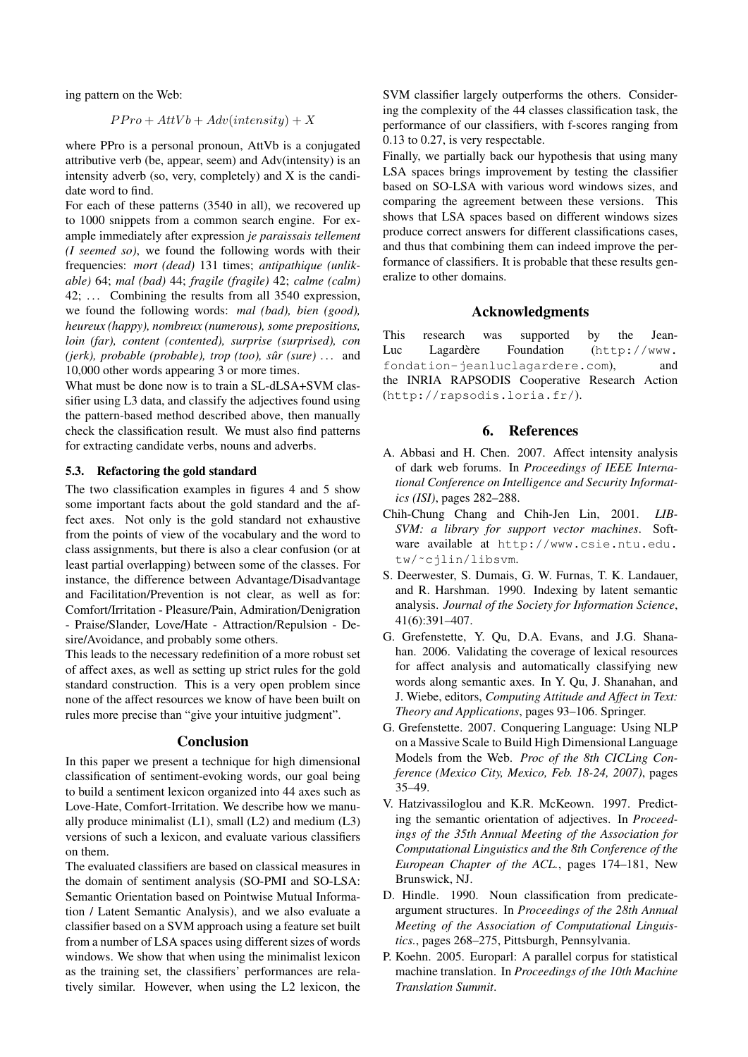ing pattern on the Web:

$$
PPro + AttVb + Adv(intensity) + X
$$

where PPro is a personal pronoun, AttVb is a conjugated attributive verb (be, appear, seem) and Adv(intensity) is an intensity adverb (so, very, completely) and X is the candidate word to find.

For each of these patterns (3540 in all), we recovered up to 1000 snippets from a common search engine. For example immediately after expression *je paraissais tellement (I seemed so)*, we found the following words with their frequencies: *mort (dead)* 131 times; *antipathique (unlikable)* 64; *mal (bad)* 44; *fragile (fragile)* 42; *calme (calm)* 42; ... Combining the results from all 3540 expression, we found the following words: *mal (bad), bien (good), heureux (happy), nombreux (numerous), some prepositions, loin (far), content (contented), surprise (surprised), con (jerk), probable (probable), trop (too), sûr (sure)* ... and 10,000 other words appearing 3 or more times.

What must be done now is to train a SL-dLSA+SVM classifier using L3 data, and classify the adjectives found using the pattern-based method described above, then manually check the classification result. We must also find patterns for extracting candidate verbs, nouns and adverbs.

#### 5.3. Refactoring the gold standard

The two classification examples in figures 4 and 5 show some important facts about the gold standard and the affect axes. Not only is the gold standard not exhaustive from the points of view of the vocabulary and the word to class assignments, but there is also a clear confusion (or at least partial overlapping) between some of the classes. For instance, the difference between Advantage/Disadvantage and Facilitation/Prevention is not clear, as well as for: Comfort/Irritation - Pleasure/Pain, Admiration/Denigration - Praise/Slander, Love/Hate - Attraction/Repulsion - Desire/Avoidance, and probably some others.

This leads to the necessary redefinition of a more robust set of affect axes, as well as setting up strict rules for the gold standard construction. This is a very open problem since none of the affect resources we know of have been built on rules more precise than "give your intuitive judgment".

#### **Conclusion**

In this paper we present a technique for high dimensional classification of sentiment-evoking words, our goal being to build a sentiment lexicon organized into 44 axes such as Love-Hate, Comfort-Irritation. We describe how we manually produce minimalist  $(L1)$ , small  $(L2)$  and medium  $(L3)$ versions of such a lexicon, and evaluate various classifiers on them.

The evaluated classifiers are based on classical measures in the domain of sentiment analysis (SO-PMI and SO-LSA: Semantic Orientation based on Pointwise Mutual Information / Latent Semantic Analysis), and we also evaluate a classifier based on a SVM approach using a feature set built from a number of LSA spaces using different sizes of words windows. We show that when using the minimalist lexicon as the training set, the classifiers' performances are relatively similar. However, when using the L2 lexicon, the SVM classifier largely outperforms the others. Considering the complexity of the 44 classes classification task, the performance of our classifiers, with f-scores ranging from 0.13 to 0.27, is very respectable.

Finally, we partially back our hypothesis that using many LSA spaces brings improvement by testing the classifier based on SO-LSA with various word windows sizes, and comparing the agreement between these versions. This shows that LSA spaces based on different windows sizes produce correct answers for different classifications cases, and thus that combining them can indeed improve the performance of classifiers. It is probable that these results generalize to other domains.

#### Acknowledgments

This research was supported by the Jean-Luc Lagardère Foundation (http://www. fondation-jeanluclagardere.com), and the INRIA RAPSODIS Cooperative Research Action (http://rapsodis.loria.fr/).

## 6. References

- A. Abbasi and H. Chen. 2007. Affect intensity analysis of dark web forums. In *Proceedings of IEEE International Conference on Intelligence and Security Informatics (ISI)*, pages 282–288.
- Chih-Chung Chang and Chih-Jen Lin, 2001. *LIB-SVM: a library for support vector machines*. Software available at http://www.csie.ntu.edu. tw/˜cjlin/libsvm.
- S. Deerwester, S. Dumais, G. W. Furnas, T. K. Landauer, and R. Harshman. 1990. Indexing by latent semantic analysis. *Journal of the Society for Information Science*, 41(6):391–407.
- G. Grefenstette, Y. Qu, D.A. Evans, and J.G. Shanahan. 2006. Validating the coverage of lexical resources for affect analysis and automatically classifying new words along semantic axes. In Y. Qu, J. Shanahan, and J. Wiebe, editors, *Computing Attitude and Affect in Text: Theory and Applications*, pages 93–106. Springer.
- G. Grefenstette. 2007. Conquering Language: Using NLP on a Massive Scale to Build High Dimensional Language Models from the Web. *Proc of the 8th CICLing Conference (Mexico City, Mexico, Feb. 18-24, 2007)*, pages 35–49.
- V. Hatzivassiloglou and K.R. McKeown. 1997. Predicting the semantic orientation of adjectives. In *Proceedings of the 35th Annual Meeting of the Association for Computational Linguistics and the 8th Conference of the European Chapter of the ACL.*, pages 174–181, New Brunswick, NJ.
- D. Hindle. 1990. Noun classification from predicateargument structures. In *Proceedings of the 28th Annual Meeting of the Association of Computational Linguistics.*, pages 268–275, Pittsburgh, Pennsylvania.
- P. Koehn. 2005. Europarl: A parallel corpus for statistical machine translation. In *Proceedings of the 10th Machine Translation Summit*.